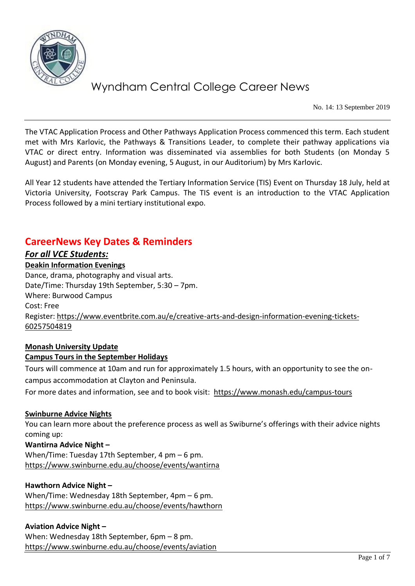

No. 14: 13 September 2019

The VTAC Application Process and Other Pathways Application Process commenced this term. Each student met with Mrs Karlovic, the Pathways & Transitions Leader, to complete their pathway applications via VTAC or direct entry. Information was disseminated via assemblies for both Students (on Monday 5 August) and Parents (on Monday evening, 5 August, in our Auditorium) by Mrs Karlovic.

All Year 12 students have attended the Tertiary Information Service (TIS) Event on Thursday 18 July, held at Victoria University, Footscray Park Campus. The TIS event is an introduction to the VTAC Application Process followed by a mini tertiary institutional expo.

## **CareerNews Key Dates & Reminders**

#### *For all VCE Students:*

#### **Deakin Information Evenings**

Dance, drama, photography and visual arts. Date/Time: Thursday 19th September, 5:30 – 7pm. Where: Burwood Campus Cost: Free Register[: https://www.eventbrite.com.au/e/creative-arts-and-design-information-evening-tickets-](https://www.eventbrite.com.au/e/creative-arts-and-design-information-evening-tickets-60257504819)[60257504819](https://www.eventbrite.com.au/e/creative-arts-and-design-information-evening-tickets-60257504819)

#### **Monash University Update Campus Tours in the September Holidays**

Tours will commence at 10am and run for approximately 1.5 hours, with an opportunity to see the oncampus accommodation at Clayton and Peninsula.

For more dates and information, see and to book visit: https://www.monash.edu/campus-tours

#### **Swinburne Advice Nights**

You can learn more about the preference process as well as Swiburne's offerings with their advice nights coming up:

**Wantirna Advice Night –** When/Time: Tuesday 17th September, 4 pm – 6 pm. <https://www.swinburne.edu.au/choose/events/wantirna>

#### **Hawthorn Advice Night –**

When/Time: Wednesday 18th September, 4pm – 6 pm. <https://www.swinburne.edu.au/choose/events/hawthorn>

#### **Aviation Advice Night –**

When: Wednesday 18th September, 6pm – 8 pm. <https://www.swinburne.edu.au/choose/events/aviation>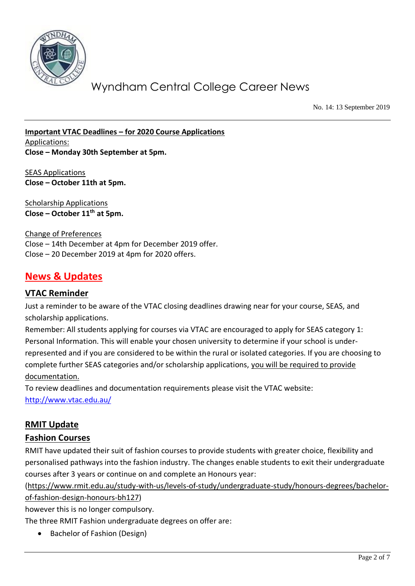

No. 14: 13 September 2019

**Important VTAC Deadlines – for 2020 Course Applications** Applications: **Close – Monday 30th September at 5pm.**

SEAS Applications **Close – October 11th at 5pm.**

Scholarship Applications **Close – October 11th at 5pm.**

Change of Preferences Close – 14th December at 4pm for December 2019 offer. Close – 20 December 2019 at 4pm for 2020 offers.

## **News & Updates**

#### **VTAC Reminder**

Just a reminder to be aware of the VTAC closing deadlines drawing near for your course, SEAS, and scholarship applications.

Remember: All students applying for courses via VTAC are encouraged to apply for SEAS category 1: Personal Information. This will enable your chosen university to determine if your school is underrepresented and if you are considered to be within the rural or isolated categories. If you are choosing to complete further SEAS categories and/or scholarship applications, you will be required to provide documentation.

To review deadlines and documentation requirements please visit the VTAC website: <http://www.vtac.edu.au/>

### **RMIT Update**

#### **Fashion Courses**

RMIT have updated their suit of fashion courses to provide students with greater choice, flexibility and personalised pathways into the fashion industry. The changes enable students to exit their undergraduate courses after 3 years or continue on and complete an Honours year:

[\(https://www.rmit.edu.au/study-with-us/levels-of-study/undergraduate-study/honours-degrees/bachelor-](https://www.rmit.edu.au/study-with-us/levels-of-study/undergraduate-study/honours-degrees/bachelor-of-fashion-design-honours-bh127)

[of-fashion-design-honours-bh127\)](https://www.rmit.edu.au/study-with-us/levels-of-study/undergraduate-study/honours-degrees/bachelor-of-fashion-design-honours-bh127)

however this is no longer compulsory.

The three RMIT Fashion undergraduate degrees on offer are:

• Bachelor of Fashion (Design)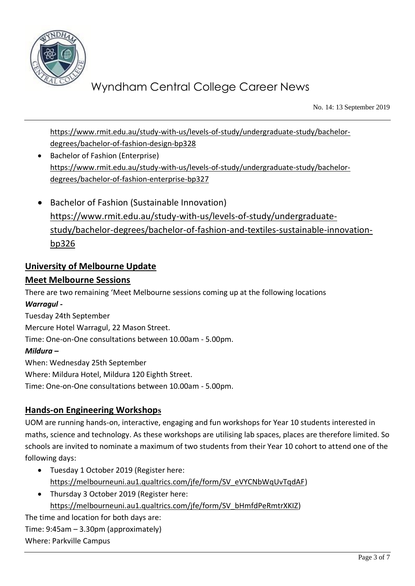

No. 14: 13 September 2019

[https://www.rmit.edu.au/study-with-us/levels-of-study/undergraduate-study/bachelor](https://www.rmit.edu.au/study-with-us/levels-of-study/undergraduate-study/bachelor-degrees/bachelor-of-fashion-design-bp328)[degrees/bachelor-of-fashion-design-bp328](https://www.rmit.edu.au/study-with-us/levels-of-study/undergraduate-study/bachelor-degrees/bachelor-of-fashion-design-bp328)

- Bachelor of Fashion (Enterprise) [https://www.rmit.edu.au/study-with-us/levels-of-study/undergraduate-study/bachelor](https://www.rmit.edu.au/study-with-us/levels-of-study/undergraduate-study/bachelor-degrees/bachelor-of-fashion-enterprise-bp327)[degrees/bachelor-of-fashion-enterprise-bp327](https://www.rmit.edu.au/study-with-us/levels-of-study/undergraduate-study/bachelor-degrees/bachelor-of-fashion-enterprise-bp327)
- Bachelor of Fashion (Sustainable Innovation) [https://www.rmit.edu.au/study-with-us/levels-of-study/undergraduate](https://www.rmit.edu.au/study-with-us/levels-of-study/undergraduate-study/bachelor-degrees/bachelor-of-fashion-and-textiles-sustainable-innovation-bp326)[study/bachelor-degrees/bachelor-of-fashion-and-textiles-sustainable-innovation](https://www.rmit.edu.au/study-with-us/levels-of-study/undergraduate-study/bachelor-degrees/bachelor-of-fashion-and-textiles-sustainable-innovation-bp326)[bp326](https://www.rmit.edu.au/study-with-us/levels-of-study/undergraduate-study/bachelor-degrees/bachelor-of-fashion-and-textiles-sustainable-innovation-bp326)

### **University of Melbourne Update**

### **Meet Melbourne Sessions**

There are two remaining 'Meet Melbourne sessions coming up at the following locations *Warragul -* Tuesday 24th September Mercure Hotel Warragul, 22 Mason Street. Time: One-on-One consultations between 10.00am - 5.00pm. *Mildura –* When: Wednesday 25th September Where: Mildura Hotel, Mildura 120 Eighth Street.

#### **Hands-on Engineering Workshops**

Time: One-on-One consultations between 10.00am - 5.00pm.

UOM are running hands-on, interactive, engaging and fun workshops for Year 10 students interested in maths, science and technology. As these workshops are utilising lab spaces, places are therefore limited. So schools are invited to nominate a maximum of two students from their Year 10 cohort to attend one of the following days:

- Tuesday 1 October 2019 (Register here: [https://melbourneuni.au1.qualtrics.com/jfe/form/SV\\_eVYCNbWqUvTqdAF\)](https://melbourneuni.au1.qualtrics.com/jfe/form/SV_eVYCNbWqUvTqdAF)
- Thursday 3 October 2019 (Register here: [https://melbourneuni.au1.qualtrics.com/jfe/form/SV\\_bHmfdPeRmtrXKIZ\)](https://melbourneuni.au1.qualtrics.com/jfe/form/SV_bHmfdPeRmtrXKIZ)

The time and location for both days are: Time: 9:45am – 3.30pm (approximately) Where: Parkville Campus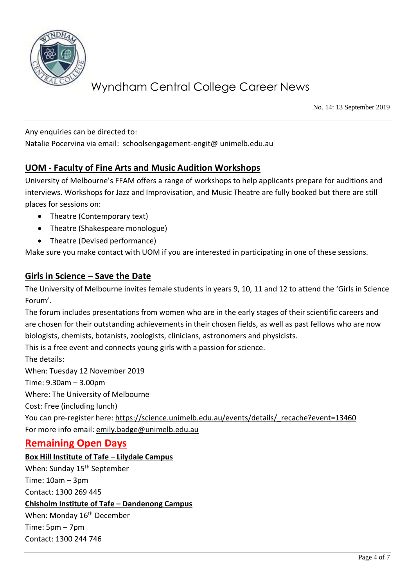

No. 14: 13 September 2019

Any enquiries can be directed to:

Natalie Pocervina via email: schoolsengagement-engit@ unimelb.edu.au

### **UOM - Faculty of Fine Arts and Music Audition Workshops**

University of Melbourne's FFAM offers a range of workshops to help applicants prepare for auditions and interviews. Workshops for Jazz and Improvisation, and Music Theatre are fully booked but there are still places for sessions on:

- Theatre (Contemporary text)
- Theatre (Shakespeare monologue)
- Theatre (Devised performance)

Make sure you make contact with UOM if you are interested in participating in one of these sessions.

### **Girls in Science – Save the Date**

The University of Melbourne invites female students in years 9, 10, 11 and 12 to attend the 'Girls in Science Forum'.

The forum includes presentations from women who are in the early stages of their scientific careers and are chosen for their outstanding achievements in their chosen fields, as well as past fellows who are now biologists, chemists, botanists, zoologists, clinicians, astronomers and physicists.

This is a free event and connects young girls with a passion for science.

The details:

When: Tuesday 12 November 2019

Time: 9.30am – 3.00pm

Where: The University of Melbourne

Cost: Free (including lunch)

You can pre-register here: [https://science.unimelb.edu.au/events/details/\\_recache?event=13460](https://science.unimelb.edu.au/events/details/_recache?event=13460)  For more info email: [emily.badge@unimelb.edu.au](mailto:emily.badge@unimelb.edu.au)

### **Remaining Open Days**

#### **Box Hill Institute of Tafe – Lilydale Campus**

When: Sunday 15<sup>th</sup> September Time: 10am – 3pm

Contact: 1300 269 445

#### **Chisholm Institute of Tafe – Dandenong Campus**

When: Monday 16<sup>th</sup> December Time: 5pm – 7pm Contact: 1300 244 746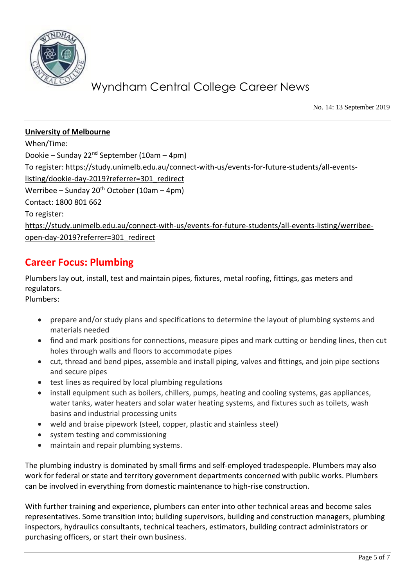

No. 14: 13 September 2019

### **University of Melbourne**  When/Time: Dookie – Sunday 22<sup>nd</sup> September (10am – 4pm) To register: [https://study.unimelb.edu.au/connect-with-us/events-for-future-students/all-events](https://study.unimelb.edu.au/connect-with-us/events-for-future-students/all-events-listing/dookie-day-2019?referrer=301_redirect)[listing/dookie-day-2019?referrer=301\\_redirect](https://study.unimelb.edu.au/connect-with-us/events-for-future-students/all-events-listing/dookie-day-2019?referrer=301_redirect) Werribee – Sunday 20<sup>th</sup> October (10am – 4pm) Contact: 1800 801 662 To register: [https://study.unimelb.edu.au/connect-with-us/events-for-future-students/all-events-listing/werribee](https://study.unimelb.edu.au/connect-with-us/events-for-future-students/all-events-listing/werribee-open-day-2019?referrer=301_redirect)[open-day-2019?referrer=301\\_redirect](https://study.unimelb.edu.au/connect-with-us/events-for-future-students/all-events-listing/werribee-open-day-2019?referrer=301_redirect)

## **Career Focus: Plumbing**

Plumbers lay out, install, test and maintain pipes, fixtures, metal roofing, fittings, gas meters and regulators.

Plumbers:

- prepare and/or study plans and specifications to determine the layout of plumbing systems and materials needed
- find and mark positions for connections, measure pipes and mark cutting or bending lines, then cut holes through walls and floors to accommodate pipes
- cut, thread and bend pipes, assemble and install piping, valves and fittings, and join pipe sections and secure pipes
- test lines as required by local plumbing regulations
- install equipment such as boilers, chillers, pumps, heating and cooling systems, gas appliances, water tanks, water heaters and solar water heating systems, and fixtures such as toilets, wash basins and industrial processing units
- weld and braise pipework (steel, copper, plastic and stainless steel)
- system testing and commissioning
- maintain and repair plumbing systems.

The plumbing industry is dominated by small firms and self-employed tradespeople. Plumbers may also work for federal or state and territory government departments concerned with public works. Plumbers can be involved in everything from domestic maintenance to high-rise construction.

With further training and experience, plumbers can enter into other technical areas and become sales representatives. Some transition into; building supervisors, building and construction managers, plumbing inspectors, hydraulics consultants, technical teachers, estimators, building contract administrators or purchasing officers, or start their own business.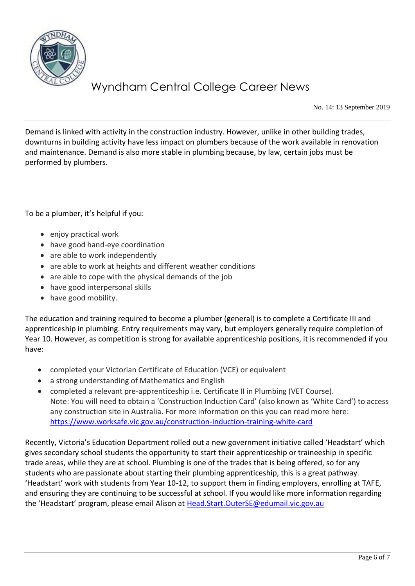

No. 14: 13 September 2019

Demand is linked with activity in the construction industry. However, unlike in other building trades, downturns in building activity have less impact on plumbers because of the work available in renovation and maintenance. Demand is also more stable in plumbing because, by law, certain jobs must be performed by plumbers.

To be a plumber, it's helpful if you:

- enjoy practical work
- have good hand-eye coordination
- are able to work independently
- are able to work at heights and different weather conditions
- are able to cope with the physical demands of the job
- have good interpersonal skills
- have good mobility.

The education and training required to become a plumber (general) is to complete a Certificate III and apprenticeship in plumbing. Entry requirements may vary, but employers generally require completion of Year 10. However, as competition is strong for available apprenticeship positions, it is recommended if you have:

- completed your Victorian Certificate of Education (VCE) or equivalent
- a strong understanding of Mathematics and English
- completed a relevant pre-apprenticeship i.e. Certificate II in Plumbing (VET Course). Note: You will need to obtain a 'Construction Induction Card' (also known as 'White Card') to access any construction site in Australia. For more information on this you can read more here: <https://www.worksafe.vic.gov.au/construction-induction-training-white-card>

Recently, Victoria's Education Department rolled out a new government initiative called 'Headstart' which gives secondary school students the opportunity to start their apprenticeship or traineeship in specific trade areas, while they are at school. Plumbing is one of the trades that is being offered, so for any students who are passionate about starting their plumbing apprenticeship, this is a great pathway. 'Headstart' work with students from Year 10-12, to support them in finding employers, enrolling at TAFE, and ensuring they are continuing to be successful at school. If you would like more information regarding the 'Headstart' program, please email Alison at [Head.Start.OuterSE@edumail.vic.gov.au](mailto:Head.Start.OuterSE@edumail.vic.gov.au)